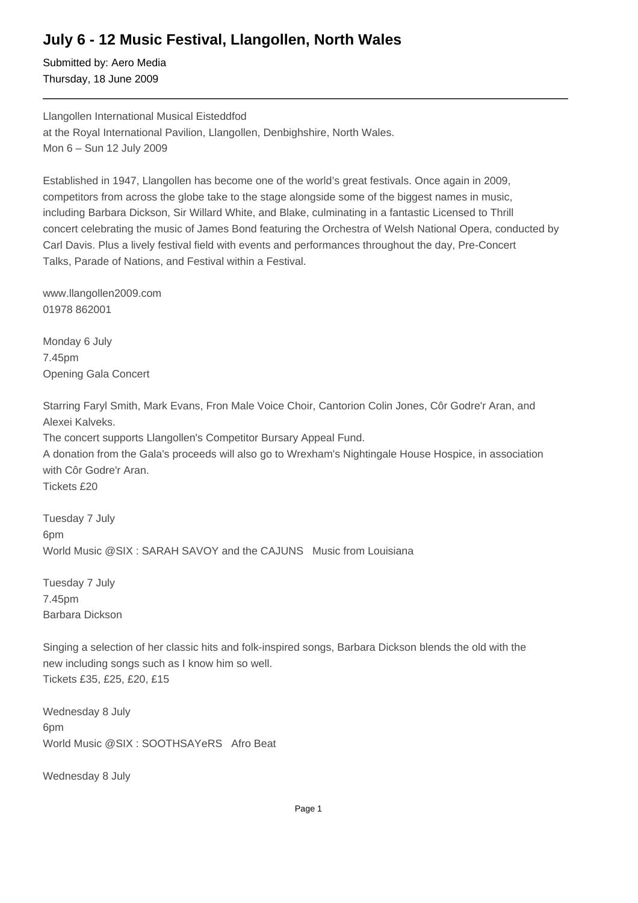## **July 6 - 12 Music Festival, Llangollen, North Wales**

Submitted by: Aero Media Thursday, 18 June 2009

Llangollen International Musical Eisteddfod at the Royal International Pavilion, Llangollen, Denbighshire, North Wales. Mon 6 – Sun 12 July 2009

Established in 1947, Llangollen has become one of the world's great festivals. Once again in 2009, competitors from across the globe take to the stage alongside some of the biggest names in music, including Barbara Dickson, Sir Willard White, and Blake, culminating in a fantastic Licensed to Thrill concert celebrating the music of James Bond featuring the Orchestra of Welsh National Opera, conducted by Carl Davis. Plus a lively festival field with events and performances throughout the day, Pre-Concert Talks, Parade of Nations, and Festival within a Festival.

www.llangollen2009.com 01978 862001

Monday 6 July 7.45pm Opening Gala Concert

Starring Faryl Smith, Mark Evans, Fron Male Voice Choir, Cantorion Colin Jones, Côr Godre'r Aran, and Alexei Kalveks. The concert supports Llangollen's Competitor Bursary Appeal Fund. A donation from the Gala's proceeds will also go to Wrexham's Nightingale House Hospice, in association with Côr Godre'r Aran. Tickets £20

Tuesday 7 July 6pm World Music @SIX : SARAH SAVOY and the CAJUNS Music from Louisiana

Tuesday 7 July 7.45pm Barbara Dickson

Singing a selection of her classic hits and folk-inspired songs, Barbara Dickson blends the old with the new including songs such as I know him so well. Tickets £35, £25, £20, £15

Wednesday 8 July 6pm World Music @SIX : SOOTHSAYeRS Afro Beat

Wednesday 8 July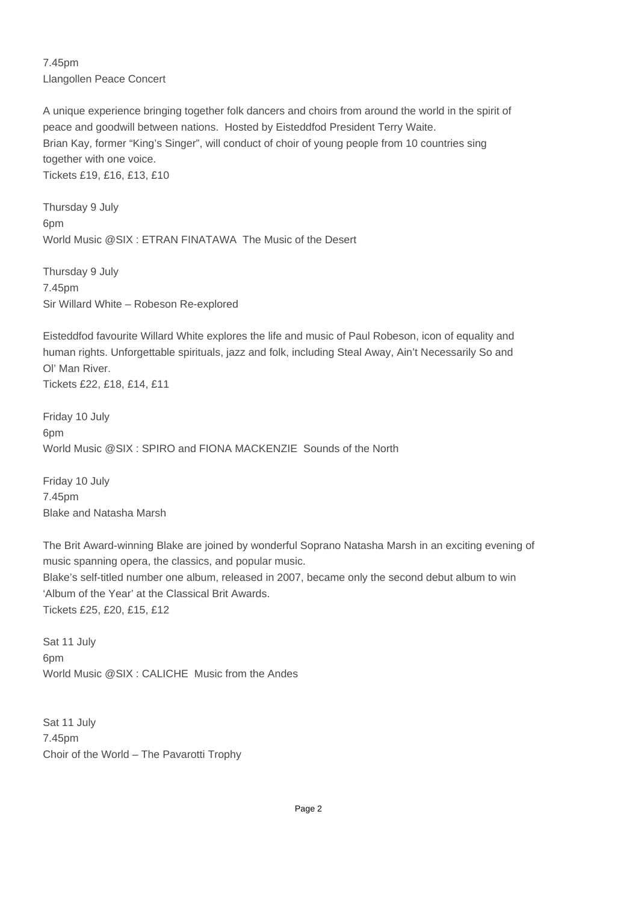7.45pm Llangollen Peace Concert

A unique experience bringing together folk dancers and choirs from around the world in the spirit of peace and goodwill between nations. Hosted by Eisteddfod President Terry Waite. Brian Kay, former "King's Singer", will conduct of choir of young people from 10 countries sing together with one voice. Tickets £19, £16, £13, £10

Thursday 9 July 6pm World Music @SIX : ETRAN FINATAWA The Music of the Desert

Thursday 9 July 7.45pm Sir Willard White – Robeson Re-explored

Eisteddfod favourite Willard White explores the life and music of Paul Robeson, icon of equality and human rights. Unforgettable spirituals, jazz and folk, including Steal Away, Ain't Necessarily So and Ol' Man River.

Tickets £22, £18, £14, £11

Friday 10 July 6pm World Music @SIX : SPIRO and FIONA MACKENZIE Sounds of the North

Friday 10 July 7.45pm Blake and Natasha Marsh

The Brit Award-winning Blake are joined by wonderful Soprano Natasha Marsh in an exciting evening of music spanning opera, the classics, and popular music. Blake's self-titled number one album, released in 2007, became only the second debut album to win 'Album of the Year' at the Classical Brit Awards. Tickets £25, £20, £15, £12

Sat 11 July 6pm World Music @SIX : CALICHE Music from the Andes

Sat 11 July 7.45pm Choir of the World – The Pavarotti Trophy